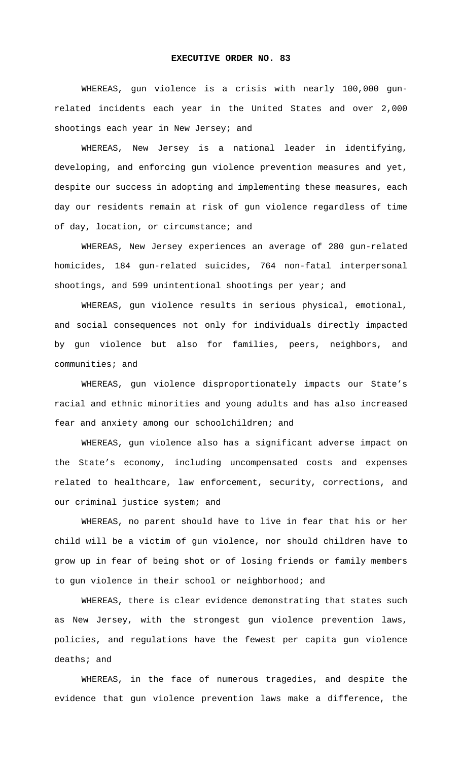## **EXECUTIVE ORDER NO. 83**

WHEREAS, gun violence is a crisis with nearly 100,000 gunrelated incidents each year in the United States and over 2,000 shootings each year in New Jersey; and

WHEREAS, New Jersey is a national leader in identifying, developing, and enforcing gun violence prevention measures and yet, despite our success in adopting and implementing these measures, each day our residents remain at risk of gun violence regardless of time of day, location, or circumstance; and

WHEREAS, New Jersey experiences an average of 280 gun-related homicides, 184 gun-related suicides, 764 non-fatal interpersonal shootings, and 599 unintentional shootings per year; and

WHEREAS, gun violence results in serious physical, emotional, and social consequences not only for individuals directly impacted by gun violence but also for families, peers, neighbors, and communities; and

WHEREAS, gun violence disproportionately impacts our State's racial and ethnic minorities and young adults and has also increased fear and anxiety among our schoolchildren; and

WHEREAS, gun violence also has a significant adverse impact on the State's economy, including uncompensated costs and expenses related to healthcare, law enforcement, security, corrections, and our criminal justice system; and

WHEREAS, no parent should have to live in fear that his or her child will be a victim of gun violence, nor should children have to grow up in fear of being shot or of losing friends or family members to gun violence in their school or neighborhood; and

WHEREAS, there is clear evidence demonstrating that states such as New Jersey, with the strongest gun violence prevention laws, policies, and regulations have the fewest per capita gun violence deaths; and

WHEREAS, in the face of numerous tragedies, and despite the evidence that gun violence prevention laws make a difference, the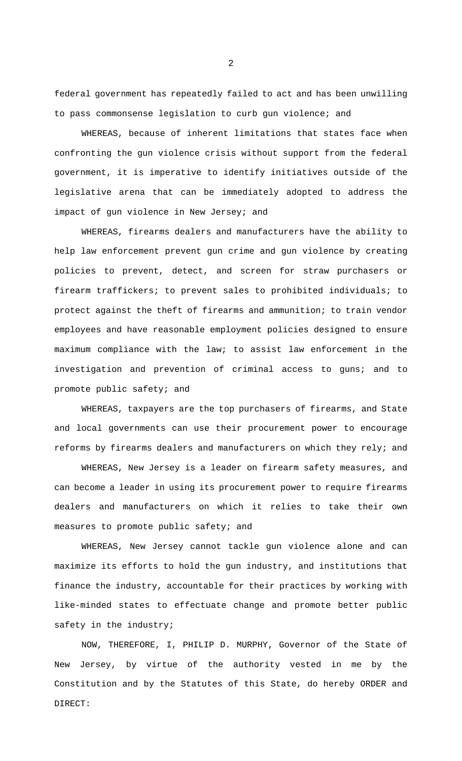federal government has repeatedly failed to act and has been unwilling to pass commonsense legislation to curb gun violence; and

WHEREAS, because of inherent limitations that states face when confronting the gun violence crisis without support from the federal government, it is imperative to identify initiatives outside of the legislative arena that can be immediately adopted to address the impact of gun violence in New Jersey; and

WHEREAS, firearms dealers and manufacturers have the ability to help law enforcement prevent gun crime and gun violence by creating policies to prevent, detect, and screen for straw purchasers or firearm traffickers; to prevent sales to prohibited individuals; to protect against the theft of firearms and ammunition; to train vendor employees and have reasonable employment policies designed to ensure maximum compliance with the law; to assist law enforcement in the investigation and prevention of criminal access to guns; and to promote public safety; and

WHEREAS, taxpayers are the top purchasers of firearms, and State and local governments can use their procurement power to encourage reforms by firearms dealers and manufacturers on which they rely; and

WHEREAS, New Jersey is a leader on firearm safety measures, and can become a leader in using its procurement power to require firearms dealers and manufacturers on which it relies to take their own measures to promote public safety; and

WHEREAS, New Jersey cannot tackle gun violence alone and can maximize its efforts to hold the gun industry, and institutions that finance the industry, accountable for their practices by working with like-minded states to effectuate change and promote better public safety in the industry;

NOW, THEREFORE, I, PHILIP D. MURPHY, Governor of the State of New Jersey, by virtue of the authority vested in me by the Constitution and by the Statutes of this State, do hereby ORDER and DIRECT:

2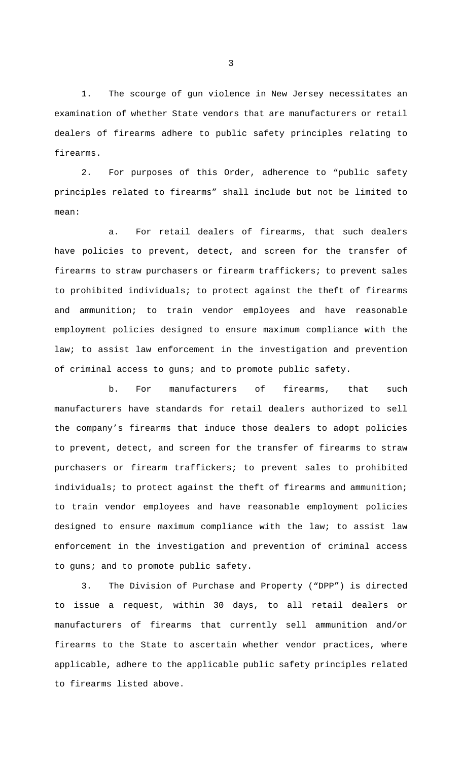1. The scourge of gun violence in New Jersey necessitates an examination of whether State vendors that are manufacturers or retail dealers of firearms adhere to public safety principles relating to firearms.

2. For purposes of this Order, adherence to "public safety principles related to firearms" shall include but not be limited to mean:

a. For retail dealers of firearms, that such dealers have policies to prevent, detect, and screen for the transfer of firearms to straw purchasers or firearm traffickers; to prevent sales to prohibited individuals; to protect against the theft of firearms and ammunition; to train vendor employees and have reasonable employment policies designed to ensure maximum compliance with the law; to assist law enforcement in the investigation and prevention of criminal access to guns; and to promote public safety.

b. For manufacturers of firearms, that such manufacturers have standards for retail dealers authorized to sell the company's firearms that induce those dealers to adopt policies to prevent, detect, and screen for the transfer of firearms to straw purchasers or firearm traffickers; to prevent sales to prohibited individuals; to protect against the theft of firearms and ammunition; to train vendor employees and have reasonable employment policies designed to ensure maximum compliance with the law; to assist law enforcement in the investigation and prevention of criminal access to guns; and to promote public safety.

3. The Division of Purchase and Property ("DPP") is directed to issue a request, within 30 days, to all retail dealers or manufacturers of firearms that currently sell ammunition and/or firearms to the State to ascertain whether vendor practices, where applicable, adhere to the applicable public safety principles related to firearms listed above.

3